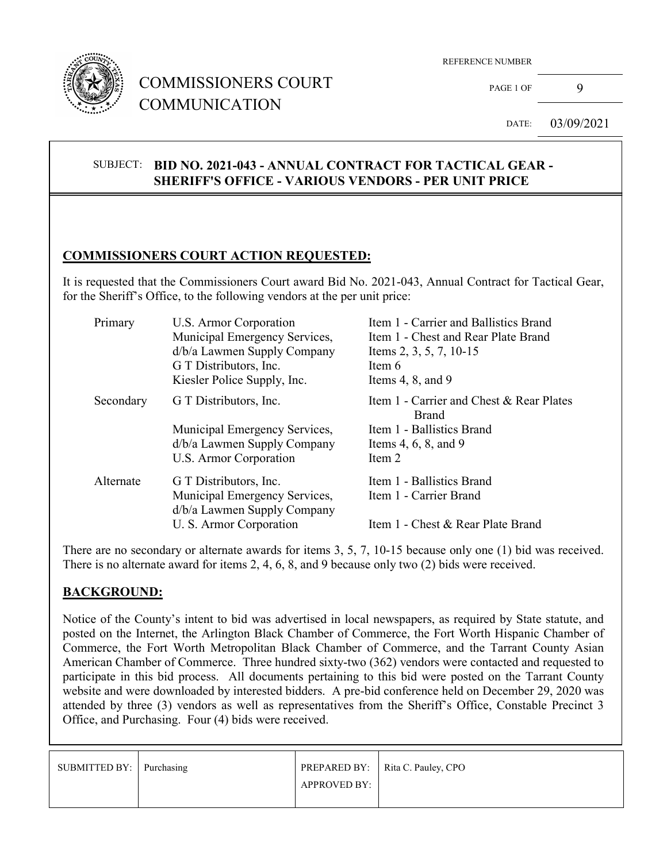

## COMMISSIONERS COURT COMMUNICATION

PAGE 1 OF 9

DATE: 03/09/2021

#### SUBJECT: **BID NO. 2021-043 - ANNUAL CONTRACT FOR TACTICAL GEAR - SHERIFF'S OFFICE - VARIOUS VENDORS - PER UNIT PRICE**

#### **COMMISSIONERS COURT ACTION REQUESTED:**

It is requested that the Commissioners Court award Bid No. 2021-043, Annual Contract for Tactical Gear, for the Sheriff's Office, to the following vendors at the per unit price:

| Item 1 - Carrier and Ballistics Brand<br>Item 1 - Chest and Rear Plate Brand |
|------------------------------------------------------------------------------|
| Items 2, 3, 5, 7, 10-15                                                      |
|                                                                              |
| Items $4, 8,$ and $9$                                                        |
| Item 1 - Carrier and Chest & Rear Plates                                     |
| Item 1 - Ballistics Brand                                                    |
| Items 4, 6, 8, and 9                                                         |
|                                                                              |
| Item 1 - Ballistics Brand                                                    |
| Item 1 - Carrier Brand                                                       |
| Item 1 - Chest & Rear Plate Brand                                            |
|                                                                              |

There are no secondary or alternate awards for items 3, 5, 7, 10-15 because only one (1) bid was received. There is no alternate award for items 2, 4, 6, 8, and 9 because only two (2) bids were received.

### **BACKGROUND:**

Notice of the County's intent to bid was advertised in local newspapers, as required by State statute, and posted on the Internet, the Arlington Black Chamber of Commerce, the Fort Worth Hispanic Chamber of Commerce, the Fort Worth Metropolitan Black Chamber of Commerce, and the Tarrant County Asian American Chamber of Commerce. Three hundred sixty-two (362) vendors were contacted and requested to participate in this bid process. All documents pertaining to this bid were posted on the Tarrant County website and were downloaded by interested bidders. A pre-bid conference held on December 29, 2020 was attended by three (3) vendors as well as representatives from the Sheriff's Office, Constable Precinct 3 Office, and Purchasing. Four (4) bids were received.

| SUBMITTED BY: Purchasing |                     | PREPARED BY:   Rita C. Pauley, CPO |
|--------------------------|---------------------|------------------------------------|
|                          | <b>APPROVED BY:</b> |                                    |